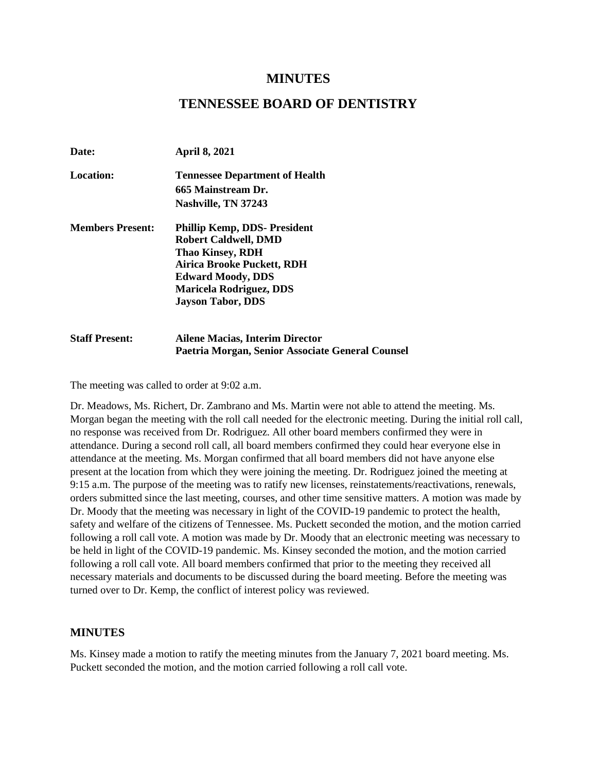## **MINUTES**

## **TENNESSEE BOARD OF DENTISTRY**

| Date:                   | <b>April 8, 2021</b>                             |
|-------------------------|--------------------------------------------------|
| Location:               | <b>Tennessee Department of Health</b>            |
|                         | 665 Mainstream Dr.                               |
|                         | Nashville, TN 37243                              |
| <b>Members Present:</b> | <b>Phillip Kemp, DDS- President</b>              |
|                         | <b>Robert Caldwell, DMD</b>                      |
|                         | <b>Thao Kinsey, RDH</b>                          |
|                         | Airica Brooke Puckett, RDH                       |
|                         | <b>Edward Moody, DDS</b>                         |
|                         | <b>Maricela Rodriguez, DDS</b>                   |
|                         | <b>Jayson Tabor, DDS</b>                         |
| <b>Staff Present:</b>   | <b>Ailene Macias, Interim Director</b>           |
|                         | Paetria Morgan, Senior Associate General Counsel |

The meeting was called to order at 9:02 a.m.

Dr. Meadows, Ms. Richert, Dr. Zambrano and Ms. Martin were not able to attend the meeting. Ms. Morgan began the meeting with the roll call needed for the electronic meeting. During the initial roll call, no response was received from Dr. Rodriguez. All other board members confirmed they were in attendance. During a second roll call, all board members confirmed they could hear everyone else in attendance at the meeting. Ms. Morgan confirmed that all board members did not have anyone else present at the location from which they were joining the meeting. Dr. Rodriguez joined the meeting at 9:15 a.m. The purpose of the meeting was to ratify new licenses, reinstatements/reactivations, renewals, orders submitted since the last meeting, courses, and other time sensitive matters. A motion was made by Dr. Moody that the meeting was necessary in light of the COVID-19 pandemic to protect the health, safety and welfare of the citizens of Tennessee. Ms. Puckett seconded the motion, and the motion carried following a roll call vote. A motion was made by Dr. Moody that an electronic meeting was necessary to be held in light of the COVID-19 pandemic. Ms. Kinsey seconded the motion, and the motion carried following a roll call vote. All board members confirmed that prior to the meeting they received all necessary materials and documents to be discussed during the board meeting. Before the meeting was turned over to Dr. Kemp, the conflict of interest policy was reviewed.

#### **MINUTES**

Ms. Kinsey made a motion to ratify the meeting minutes from the January 7, 2021 board meeting. Ms. Puckett seconded the motion, and the motion carried following a roll call vote.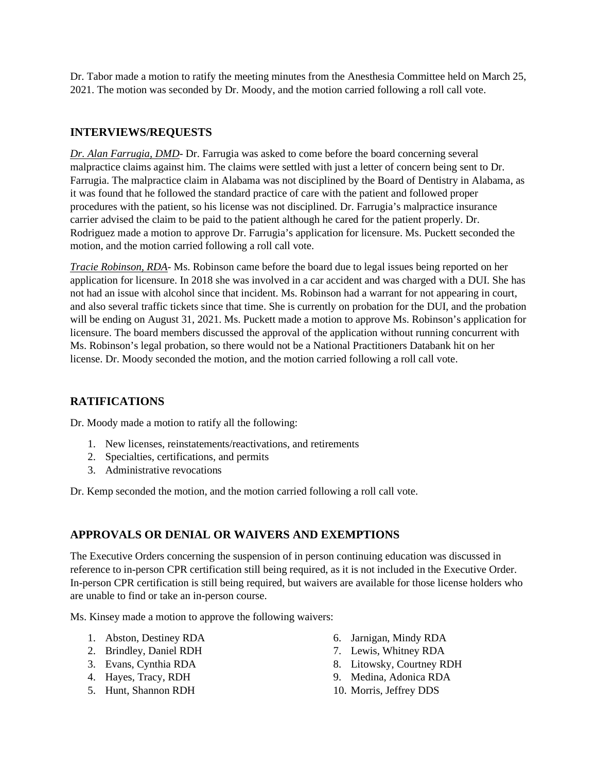Dr. Tabor made a motion to ratify the meeting minutes from the Anesthesia Committee held on March 25, 2021. The motion was seconded by Dr. Moody, and the motion carried following a roll call vote.

### **INTERVIEWS/REQUESTS**

*Dr. Alan Farrugia, DMD*- Dr. Farrugia was asked to come before the board concerning several malpractice claims against him. The claims were settled with just a letter of concern being sent to Dr. Farrugia. The malpractice claim in Alabama was not disciplined by the Board of Dentistry in Alabama, as it was found that he followed the standard practice of care with the patient and followed proper procedures with the patient, so his license was not disciplined. Dr. Farrugia's malpractice insurance carrier advised the claim to be paid to the patient although he cared for the patient properly. Dr. Rodriguez made a motion to approve Dr. Farrugia's application for licensure. Ms. Puckett seconded the motion, and the motion carried following a roll call vote.

*Tracie Robinson, RDA*- Ms. Robinson came before the board due to legal issues being reported on her application for licensure. In 2018 she was involved in a car accident and was charged with a DUI. She has not had an issue with alcohol since that incident. Ms. Robinson had a warrant for not appearing in court, and also several traffic tickets since that time. She is currently on probation for the DUI, and the probation will be ending on August 31, 2021. Ms. Puckett made a motion to approve Ms. Robinson's application for licensure. The board members discussed the approval of the application without running concurrent with Ms. Robinson's legal probation, so there would not be a National Practitioners Databank hit on her license. Dr. Moody seconded the motion, and the motion carried following a roll call vote.

# **RATIFICATIONS**

Dr. Moody made a motion to ratify all the following:

- 1. New licenses, reinstatements/reactivations, and retirements
- 2. Specialties, certifications, and permits
- 3. Administrative revocations

Dr. Kemp seconded the motion, and the motion carried following a roll call vote.

# **APPROVALS OR DENIAL OR WAIVERS AND EXEMPTIONS**

The Executive Orders concerning the suspension of in person continuing education was discussed in reference to in-person CPR certification still being required, as it is not included in the Executive Order. In-person CPR certification is still being required, but waivers are available for those license holders who are unable to find or take an in-person course.

Ms. Kinsey made a motion to approve the following waivers:

- 1. Abston, Destiney RDA
- 2. Brindley, Daniel RDH
- 3. Evans, Cynthia RDA
- 4. Hayes, Tracy, RDH
- 5. Hunt, Shannon RDH
- 6. Jarnigan, Mindy RDA
- 7. Lewis, Whitney RDA
- 8. Litowsky, Courtney RDH
- 9. Medina, Adonica RDA
- 10. Morris, Jeffrey DDS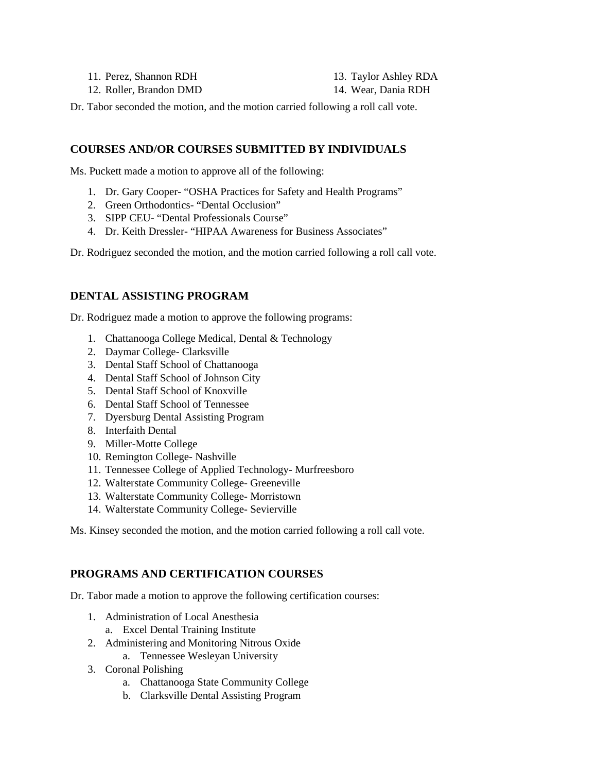11. Perez, Shannon RDH 12. Roller, Brandon DMD 13. Taylor Ashley RDA 14. Wear, Dania RDH

Dr. Tabor seconded the motion, and the motion carried following a roll call vote.

### **COURSES AND/OR COURSES SUBMITTED BY INDIVIDUALS**

Ms. Puckett made a motion to approve all of the following:

- 1. Dr. Gary Cooper- "OSHA Practices for Safety and Health Programs"
- 2. Green Orthodontics- "Dental Occlusion"
- 3. SIPP CEU- "Dental Professionals Course"
- 4. Dr. Keith Dressler- "HIPAA Awareness for Business Associates"

Dr. Rodriguez seconded the motion, and the motion carried following a roll call vote.

### **DENTAL ASSISTING PROGRAM**

Dr. Rodriguez made a motion to approve the following programs:

- 1. Chattanooga College Medical, Dental & Technology
- 2. Daymar College- Clarksville
- 3. Dental Staff School of Chattanooga
- 4. Dental Staff School of Johnson City
- 5. Dental Staff School of Knoxville
- 6. Dental Staff School of Tennessee
- 7. Dyersburg Dental Assisting Program
- 8. Interfaith Dental
- 9. Miller-Motte College
- 10. Remington College- Nashville
- 11. Tennessee College of Applied Technology- Murfreesboro
- 12. Walterstate Community College- Greeneville
- 13. Walterstate Community College- Morristown
- 14. Walterstate Community College- Sevierville

Ms. Kinsey seconded the motion, and the motion carried following a roll call vote.

# **PROGRAMS AND CERTIFICATION COURSES**

Dr. Tabor made a motion to approve the following certification courses:

- 1. Administration of Local Anesthesia
	- a. Excel Dental Training Institute
- 2. Administering and Monitoring Nitrous Oxide
	- a. Tennessee Wesleyan University
- 3. Coronal Polishing
	- a. Chattanooga State Community College
	- b. Clarksville Dental Assisting Program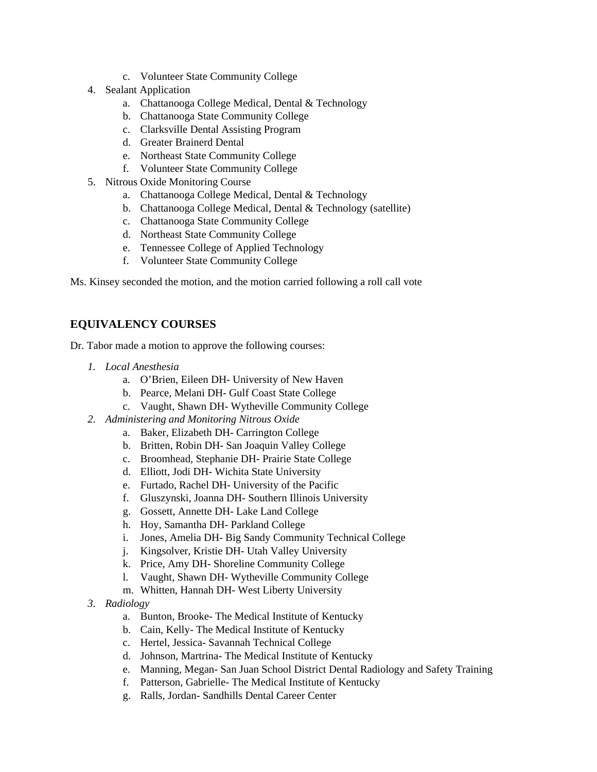- c. Volunteer State Community College
- 4. Sealant Application
	- a. Chattanooga College Medical, Dental & Technology
	- b. Chattanooga State Community College
	- c. Clarksville Dental Assisting Program
	- d. Greater Brainerd Dental
	- e. Northeast State Community College
	- f. Volunteer State Community College
- 5. Nitrous Oxide Monitoring Course
	- a. Chattanooga College Medical, Dental & Technology
	- b. Chattanooga College Medical, Dental & Technology (satellite)
	- c. Chattanooga State Community College
	- d. Northeast State Community College
	- e. Tennessee College of Applied Technology
	- f. Volunteer State Community College

Ms. Kinsey seconded the motion, and the motion carried following a roll call vote

# **EQUIVALENCY COURSES**

Dr. Tabor made a motion to approve the following courses:

- *1. Local Anesthesia*
	- a. O'Brien, Eileen DH- University of New Haven
	- b. Pearce, Melani DH- Gulf Coast State College
	- c. Vaught, Shawn DH- Wytheville Community College
- *2. Administering and Monitoring Nitrous Oxide*
	- a. Baker, Elizabeth DH- Carrington College
	- b. Britten, Robin DH- San Joaquin Valley College
	- c. Broomhead, Stephanie DH- Prairie State College
	- d. Elliott, Jodi DH- Wichita State University
	- e. Furtado, Rachel DH- University of the Pacific
	- f. Gluszynski, Joanna DH- Southern Illinois University
	- g. Gossett, Annette DH- Lake Land College
	- h. Hoy, Samantha DH- Parkland College
	- i. Jones, Amelia DH- Big Sandy Community Technical College
	- j. Kingsolver, Kristie DH- Utah Valley University
	- k. Price, Amy DH- Shoreline Community College
	- l. Vaught, Shawn DH- Wytheville Community College
	- m. Whitten, Hannah DH- West Liberty University
- *3. Radiology*
	- a. Bunton, Brooke- The Medical Institute of Kentucky
	- b. Cain, Kelly- The Medical Institute of Kentucky
	- c. Hertel, Jessica- Savannah Technical College
	- d. Johnson, Martrina- The Medical Institute of Kentucky
	- e. Manning, Megan- San Juan School District Dental Radiology and Safety Training
	- f. Patterson, Gabrielle- The Medical Institute of Kentucky
	- g. Ralls, Jordan- Sandhills Dental Career Center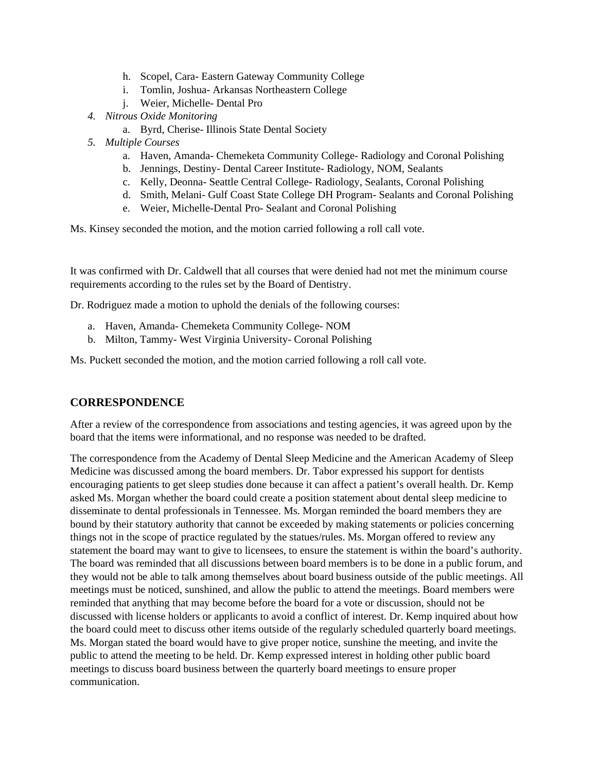- h. Scopel, Cara- Eastern Gateway Community College
- i. Tomlin, Joshua- Arkansas Northeastern College
- j. Weier, Michelle- Dental Pro
- *4. Nitrous Oxide Monitoring*
	- a. Byrd, Cherise- Illinois State Dental Society
- *5. Multiple Courses*
	- a. Haven, Amanda- Chemeketa Community College- Radiology and Coronal Polishing
	- b. Jennings, Destiny- Dental Career Institute- Radiology, NOM, Sealants
	- c. Kelly, Deonna- Seattle Central College- Radiology, Sealants, Coronal Polishing
	- d. Smith, Melani- Gulf Coast State College DH Program- Sealants and Coronal Polishing
	- e. Weier, Michelle-Dental Pro- Sealant and Coronal Polishing

Ms. Kinsey seconded the motion, and the motion carried following a roll call vote.

It was confirmed with Dr. Caldwell that all courses that were denied had not met the minimum course requirements according to the rules set by the Board of Dentistry.

Dr. Rodriguez made a motion to uphold the denials of the following courses:

- a. Haven, Amanda- Chemeketa Community College- NOM
- b. Milton, Tammy- West Virginia University- Coronal Polishing

Ms. Puckett seconded the motion, and the motion carried following a roll call vote.

# **CORRESPONDENCE**

After a review of the correspondence from associations and testing agencies, it was agreed upon by the board that the items were informational, and no response was needed to be drafted.

The correspondence from the Academy of Dental Sleep Medicine and the American Academy of Sleep Medicine was discussed among the board members. Dr. Tabor expressed his support for dentists encouraging patients to get sleep studies done because it can affect a patient's overall health. Dr. Kemp asked Ms. Morgan whether the board could create a position statement about dental sleep medicine to disseminate to dental professionals in Tennessee. Ms. Morgan reminded the board members they are bound by their statutory authority that cannot be exceeded by making statements or policies concerning things not in the scope of practice regulated by the statues/rules. Ms. Morgan offered to review any statement the board may want to give to licensees, to ensure the statement is within the board's authority. The board was reminded that all discussions between board members is to be done in a public forum, and they would not be able to talk among themselves about board business outside of the public meetings. All meetings must be noticed, sunshined, and allow the public to attend the meetings. Board members were reminded that anything that may become before the board for a vote or discussion, should not be discussed with license holders or applicants to avoid a conflict of interest. Dr. Kemp inquired about how the board could meet to discuss other items outside of the regularly scheduled quarterly board meetings. Ms. Morgan stated the board would have to give proper notice, sunshine the meeting, and invite the public to attend the meeting to be held. Dr. Kemp expressed interest in holding other public board meetings to discuss board business between the quarterly board meetings to ensure proper communication.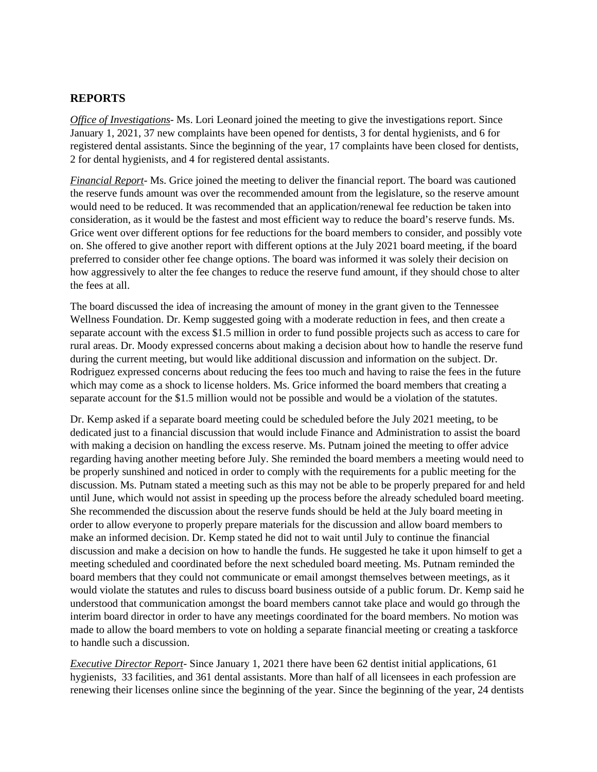### **REPORTS**

*Office of Investigations*- Ms. Lori Leonard joined the meeting to give the investigations report. Since January 1, 2021, 37 new complaints have been opened for dentists, 3 for dental hygienists, and 6 for registered dental assistants. Since the beginning of the year, 17 complaints have been closed for dentists, 2 for dental hygienists, and 4 for registered dental assistants.

*Financial Report*- Ms. Grice joined the meeting to deliver the financial report. The board was cautioned the reserve funds amount was over the recommended amount from the legislature, so the reserve amount would need to be reduced. It was recommended that an application/renewal fee reduction be taken into consideration, as it would be the fastest and most efficient way to reduce the board's reserve funds. Ms. Grice went over different options for fee reductions for the board members to consider, and possibly vote on. She offered to give another report with different options at the July 2021 board meeting, if the board preferred to consider other fee change options. The board was informed it was solely their decision on how aggressively to alter the fee changes to reduce the reserve fund amount, if they should chose to alter the fees at all.

The board discussed the idea of increasing the amount of money in the grant given to the Tennessee Wellness Foundation. Dr. Kemp suggested going with a moderate reduction in fees, and then create a separate account with the excess \$1.5 million in order to fund possible projects such as access to care for rural areas. Dr. Moody expressed concerns about making a decision about how to handle the reserve fund during the current meeting, but would like additional discussion and information on the subject. Dr. Rodriguez expressed concerns about reducing the fees too much and having to raise the fees in the future which may come as a shock to license holders. Ms. Grice informed the board members that creating a separate account for the \$1.5 million would not be possible and would be a violation of the statutes.

Dr. Kemp asked if a separate board meeting could be scheduled before the July 2021 meeting, to be dedicated just to a financial discussion that would include Finance and Administration to assist the board with making a decision on handling the excess reserve. Ms. Putnam joined the meeting to offer advice regarding having another meeting before July. She reminded the board members a meeting would need to be properly sunshined and noticed in order to comply with the requirements for a public meeting for the discussion. Ms. Putnam stated a meeting such as this may not be able to be properly prepared for and held until June, which would not assist in speeding up the process before the already scheduled board meeting. She recommended the discussion about the reserve funds should be held at the July board meeting in order to allow everyone to properly prepare materials for the discussion and allow board members to make an informed decision. Dr. Kemp stated he did not to wait until July to continue the financial discussion and make a decision on how to handle the funds. He suggested he take it upon himself to get a meeting scheduled and coordinated before the next scheduled board meeting. Ms. Putnam reminded the board members that they could not communicate or email amongst themselves between meetings, as it would violate the statutes and rules to discuss board business outside of a public forum. Dr. Kemp said he understood that communication amongst the board members cannot take place and would go through the interim board director in order to have any meetings coordinated for the board members. No motion was made to allow the board members to vote on holding a separate financial meeting or creating a taskforce to handle such a discussion.

*Executive Director Report*- Since January 1, 2021 there have been 62 dentist initial applications, 61 hygienists, 33 facilities, and 361 dental assistants. More than half of all licensees in each profession are renewing their licenses online since the beginning of the year. Since the beginning of the year, 24 dentists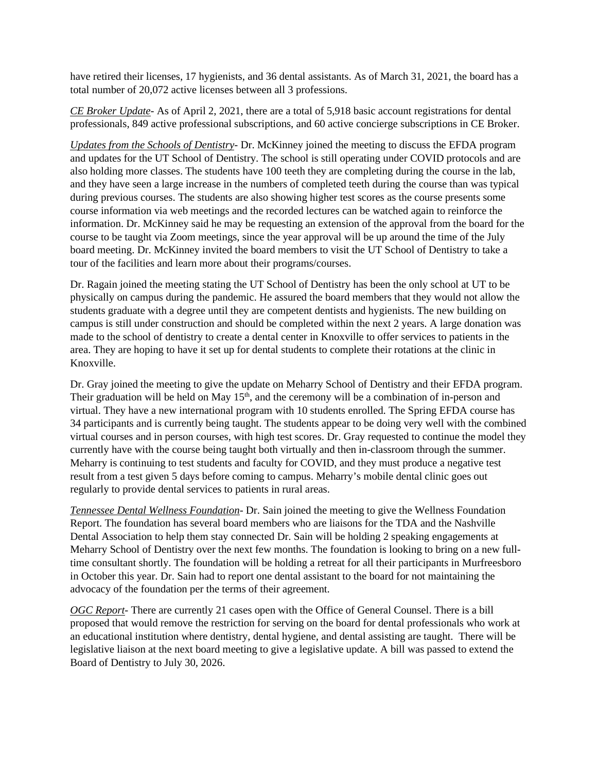have retired their licenses, 17 hygienists, and 36 dental assistants. As of March 31, 2021, the board has a total number of 20,072 active licenses between all 3 professions.

*CE Broker Update*- As of April 2, 2021, there are a total of 5,918 basic account registrations for dental professionals, 849 active professional subscriptions, and 60 active concierge subscriptions in CE Broker.

*Updates from the Schools of Dentistry*- Dr. McKinney joined the meeting to discuss the EFDA program and updates for the UT School of Dentistry. The school is still operating under COVID protocols and are also holding more classes. The students have 100 teeth they are completing during the course in the lab, and they have seen a large increase in the numbers of completed teeth during the course than was typical during previous courses. The students are also showing higher test scores as the course presents some course information via web meetings and the recorded lectures can be watched again to reinforce the information. Dr. McKinney said he may be requesting an extension of the approval from the board for the course to be taught via Zoom meetings, since the year approval will be up around the time of the July board meeting. Dr. McKinney invited the board members to visit the UT School of Dentistry to take a tour of the facilities and learn more about their programs/courses.

Dr. Ragain joined the meeting stating the UT School of Dentistry has been the only school at UT to be physically on campus during the pandemic. He assured the board members that they would not allow the students graduate with a degree until they are competent dentists and hygienists. The new building on campus is still under construction and should be completed within the next 2 years. A large donation was made to the school of dentistry to create a dental center in Knoxville to offer services to patients in the area. They are hoping to have it set up for dental students to complete their rotations at the clinic in Knoxville.

Dr. Gray joined the meeting to give the update on Meharry School of Dentistry and their EFDA program. Their graduation will be held on May  $15<sup>th</sup>$ , and the ceremony will be a combination of in-person and virtual. They have a new international program with 10 students enrolled. The Spring EFDA course has 34 participants and is currently being taught. The students appear to be doing very well with the combined virtual courses and in person courses, with high test scores. Dr. Gray requested to continue the model they currently have with the course being taught both virtually and then in-classroom through the summer. Meharry is continuing to test students and faculty for COVID, and they must produce a negative test result from a test given 5 days before coming to campus. Meharry's mobile dental clinic goes out regularly to provide dental services to patients in rural areas.

*Tennessee Dental Wellness Foundation*- Dr. Sain joined the meeting to give the Wellness Foundation Report. The foundation has several board members who are liaisons for the TDA and the Nashville Dental Association to help them stay connected Dr. Sain will be holding 2 speaking engagements at Meharry School of Dentistry over the next few months. The foundation is looking to bring on a new fulltime consultant shortly. The foundation will be holding a retreat for all their participants in Murfreesboro in October this year. Dr. Sain had to report one dental assistant to the board for not maintaining the advocacy of the foundation per the terms of their agreement.

*OGC Report*- There are currently 21 cases open with the Office of General Counsel. There is a bill proposed that would remove the restriction for serving on the board for dental professionals who work at an educational institution where dentistry, dental hygiene, and dental assisting are taught. There will be legislative liaison at the next board meeting to give a legislative update. A bill was passed to extend the Board of Dentistry to July 30, 2026.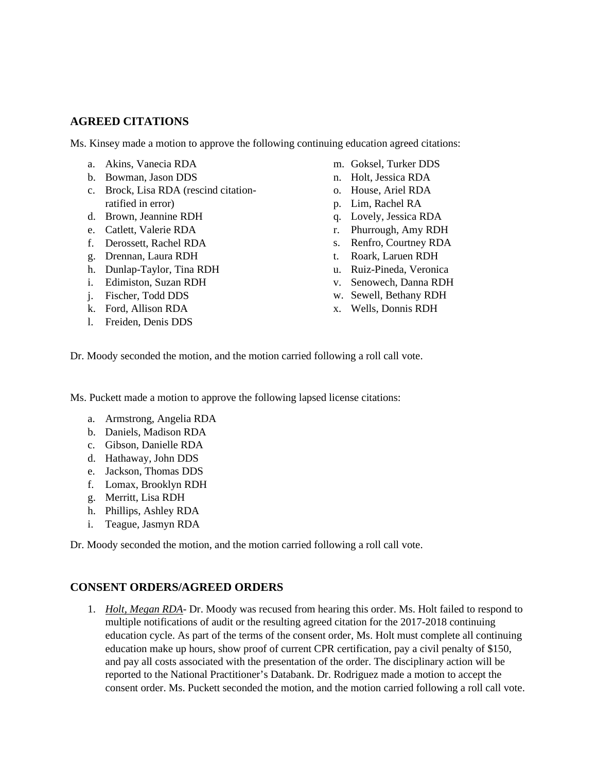#### **AGREED CITATIONS**

Ms. Kinsey made a motion to approve the following continuing education agreed citations:

- a. Akins, Vanecia RDA
- b. Bowman, Jason DDS
- c. Brock, Lisa RDA (rescind citationratified in error)
- d. Brown, Jeannine RDH
- e. Catlett, Valerie RDA
- f. Derossett, Rachel RDA
- g. Drennan, Laura RDH
- h. Dunlap-Taylor, Tina RDH
- i. Edimiston, Suzan RDH
- j. Fischer, Todd DDS
- k. Ford, Allison RDA
- l. Freiden, Denis DDS
- m. Goksel, Turker DDS
- n. Holt, Jessica RDA
- o. House, Ariel RDA
- p. Lim, Rachel RA
- q. Lovely, Jessica RDA
- r. Phurrough, Amy RDH
- s. Renfro, Courtney RDA
- t. Roark, Laruen RDH
- u. Ruiz-Pineda, Veronica
- v. Senowech, Danna RDH
- w. Sewell, Bethany RDH
- x. Wells, Donnis RDH

Dr. Moody seconded the motion, and the motion carried following a roll call vote.

Ms. Puckett made a motion to approve the following lapsed license citations:

- a. Armstrong, Angelia RDA
- b. Daniels, Madison RDA
- c. Gibson, Danielle RDA
- d. Hathaway, John DDS
- e. Jackson, Thomas DDS
- f. Lomax, Brooklyn RDH
- g. Merritt, Lisa RDH
- h. Phillips, Ashley RDA
- i. Teague, Jasmyn RDA

Dr. Moody seconded the motion, and the motion carried following a roll call vote.

### **CONSENT ORDERS/AGREED ORDERS**

1. *Holt, Megan RDA*- Dr. Moody was recused from hearing this order. Ms. Holt failed to respond to multiple notifications of audit or the resulting agreed citation for the 2017-2018 continuing education cycle. As part of the terms of the consent order, Ms. Holt must complete all continuing education make up hours, show proof of current CPR certification, pay a civil penalty of \$150, and pay all costs associated with the presentation of the order. The disciplinary action will be reported to the National Practitioner's Databank. Dr. Rodriguez made a motion to accept the consent order. Ms. Puckett seconded the motion, and the motion carried following a roll call vote.